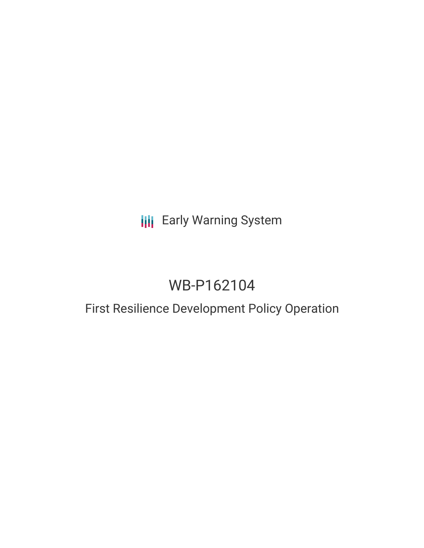# **III** Early Warning System

# WB-P162104

### First Resilience Development Policy Operation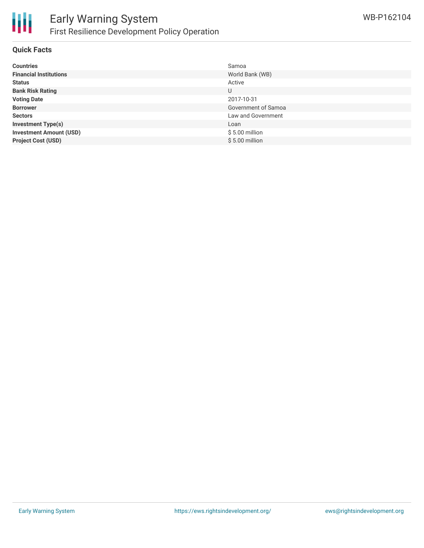

#### **Quick Facts**

| <b>Countries</b>               | Samoa               |
|--------------------------------|---------------------|
| <b>Financial Institutions</b>  | World Bank (WB)     |
| <b>Status</b>                  | Active              |
| <b>Bank Risk Rating</b>        | U                   |
| <b>Voting Date</b>             | 2017-10-31          |
| <b>Borrower</b>                | Government of Samoa |
| <b>Sectors</b>                 | Law and Government  |
| <b>Investment Type(s)</b>      | Loan                |
| <b>Investment Amount (USD)</b> | $$5.00$ million     |
| <b>Project Cost (USD)</b>      | $$5.00$ million     |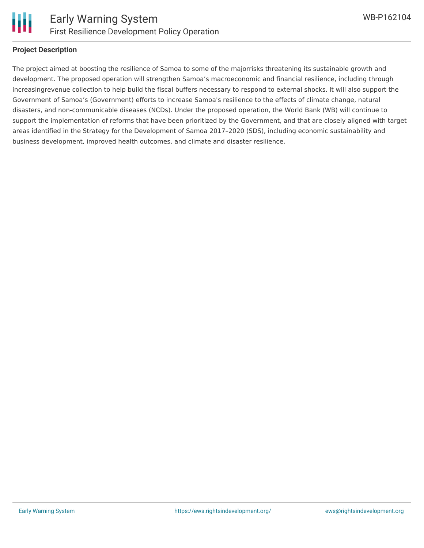

#### **Project Description**

The project aimed at boosting the resilience of Samoa to some of the majorrisks threatening its sustainable growth and development. The proposed operation will strengthen Samoa's macroeconomic and financial resilience, including through increasingrevenue collection to help build the fiscal buffers necessary to respond to external shocks. It will also support the Government of Samoa's (Government) efforts to increase Samoa's resilience to the effects of climate change, natural disasters, and non-communicable diseases (NCDs). Under the proposed operation, the World Bank (WB) will continue to support the implementation of reforms that have been prioritized by the Government, and that are closely aligned with target areas identified in the Strategy for the Development of Samoa 2017–2020 (SDS), including economic sustainability and business development, improved health outcomes, and climate and disaster resilience.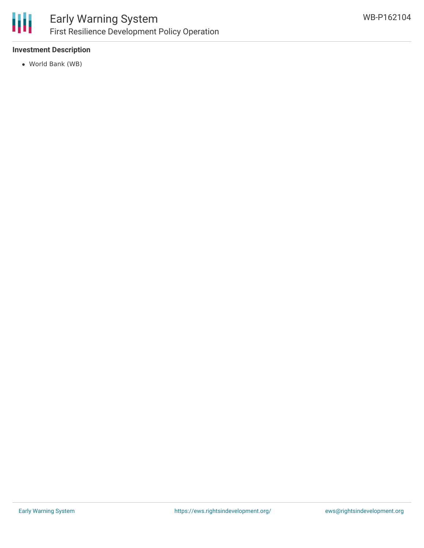

#### **Investment Description**

World Bank (WB)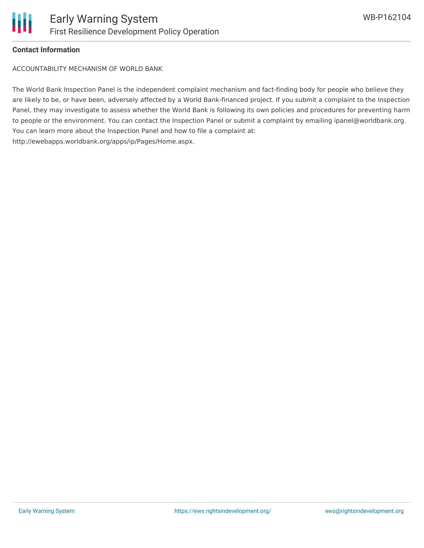#### **Contact Information**

ACCOUNTABILITY MECHANISM OF WORLD BANK

The World Bank Inspection Panel is the independent complaint mechanism and fact-finding body for people who believe they are likely to be, or have been, adversely affected by a World Bank-financed project. If you submit a complaint to the Inspection Panel, they may investigate to assess whether the World Bank is following its own policies and procedures for preventing harm to people or the environment. You can contact the Inspection Panel or submit a complaint by emailing ipanel@worldbank.org. You can learn more about the Inspection Panel and how to file a complaint at: http://ewebapps.worldbank.org/apps/ip/Pages/Home.aspx.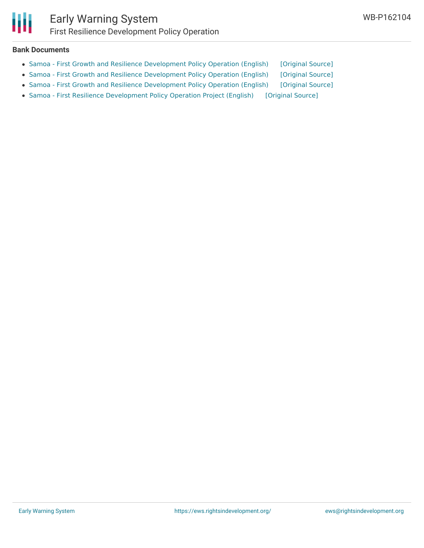

#### **Bank Documents**

- Samoa First Growth and Resilience [Development](https://ewsdata.rightsindevelopment.org/files/documents/04/WB-P162104_UUcxLuG.pdf) Policy Operation (English) [\[Original](http://documents.worldbank.org/curated/en/859871506955926844/pdf/120156-PGID-P162104-Appraisal-stage-PUBLIC-Disclosed-10-2-2017.pdf) Source]
- Samoa First Growth and Resilience [Development](https://ewsdata.rightsindevelopment.org/files/documents/04/WB-P162104_r6iMX6J.pdf) Policy Operation (English) [\[Original](http://documents.worldbank.org/curated/en/682551498225573007/pdf/116692-PGID-P162104-Box402915B-PUBLIC-Disclosed-6-23-2017.pdf) Source]
- Samoa First Growth and Resilience [Development](https://ewsdata.rightsindevelopment.org/files/documents/04/WB-P162104_SgfRy8T.pdf) Policy Operation (English) [\[Original](http://documents.worldbank.org/curated/en/682551498225573007/pdf/116692-PGID-P162104-Box402915B-PUBLIC-Disclosed-6-23-2017.pdf) Source]
- Samoa First Resilience [Development](https://ewsdata.rightsindevelopment.org/files/documents/04/WB-P162104.pdf) Policy Operation Project (English) [\[Original](http://documents.worldbank.org/curated/en/294881509717975947/pdf/Samoa-First-Resilience-DPO-Negotiated-Program-Document-clean-10102017.pdf) Source]